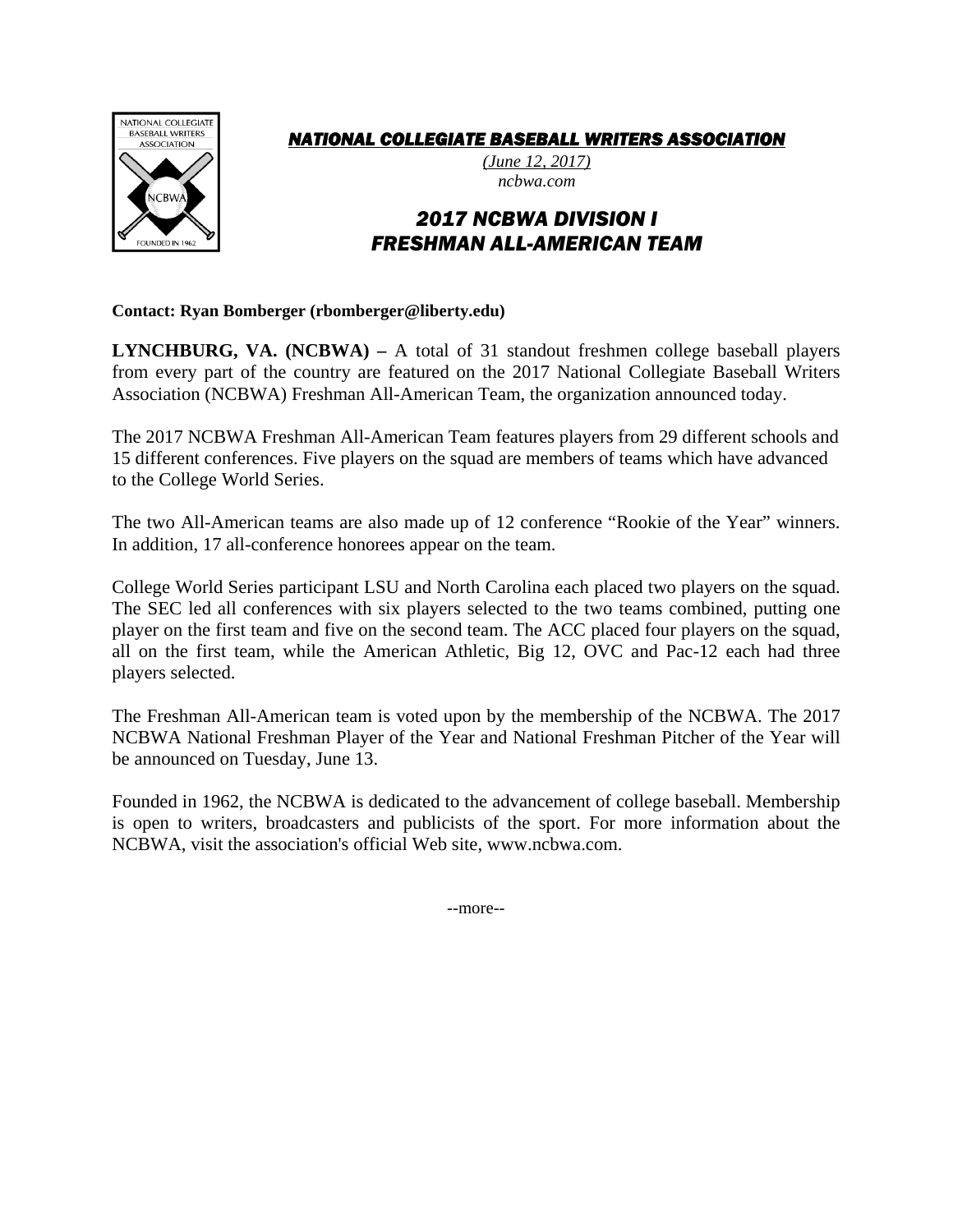

## *NATIONAL COLLEGIATE BASEBALL WRITERS ASSOCIATION*

*(June 12, 2017) ncbwa.com* 

## *2017 NCBWA DIVISION I FRESHMAN ALL-AMERICAN TEAM*

**Contact: Ryan Bomberger (rbomberger@liberty.edu)** 

**LYNCHBURG, VA. (NCBWA) –** A total of 31 standout freshmen college baseball players from every part of the country are featured on the 2017 National Collegiate Baseball Writers Association (NCBWA) Freshman All-American Team, the organization announced today.

The 2017 NCBWA Freshman All-American Team features players from 29 different schools and 15 different conferences. Five players on the squad are members of teams which have advanced to the College World Series.

The two All-American teams are also made up of 12 conference "Rookie of the Year" winners. In addition, 17 all-conference honorees appear on the team.

College World Series participant LSU and North Carolina each placed two players on the squad. The SEC led all conferences with six players selected to the two teams combined, putting one player on the first team and five on the second team. The ACC placed four players on the squad, all on the first team, while the American Athletic, Big 12, OVC and Pac-12 each had three players selected.

The Freshman All-American team is voted upon by the membership of the NCBWA. The 2017 NCBWA National Freshman Player of the Year and National Freshman Pitcher of the Year will be announced on Tuesday, June 13.

Founded in 1962, the NCBWA is dedicated to the advancement of college baseball. Membership is open to writers, broadcasters and publicists of the sport. For more information about the NCBWA, visit the association's official Web site, www.ncbwa.com.

--more--